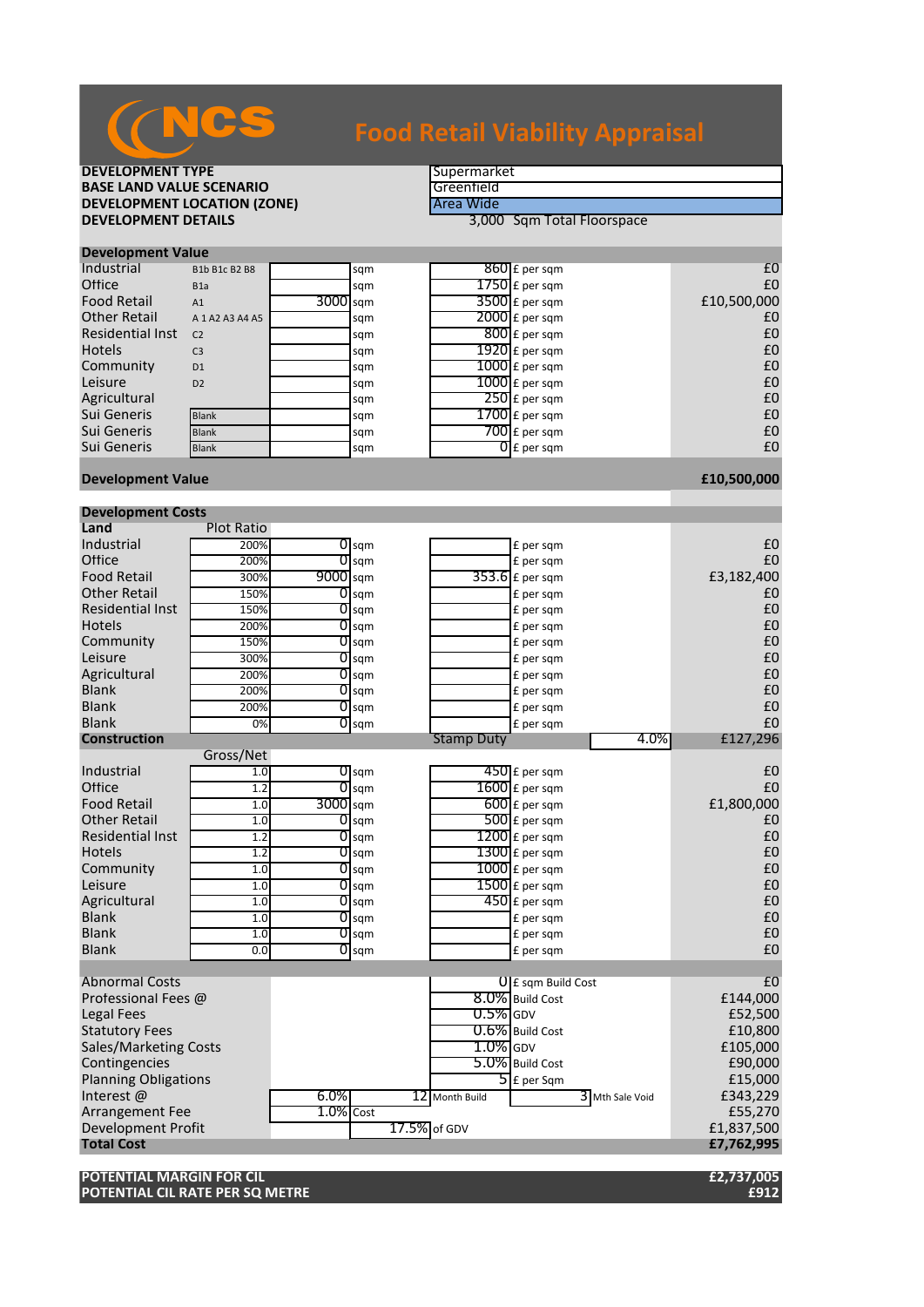

# **Food Retail Viability Appraisal**

## **DEVELOPMENT TYPE**<br> **BASE LAND VALUE SCENARIO BASE LAND VALUE SCENARIO**<br> **DEVELOPMENT LOCATION (ZONE)** The Case of the Case of Area Wide **DEVELOPMENT LOCATION (ZONE)**<br>DEVELOPMENT DETAILS

**DEVELOPMENT DETAILS** 3,000 Sqm Total Floorspace

| <b>Development Value</b> |                     |            |     |  |                          |             |  |  |
|--------------------------|---------------------|------------|-----|--|--------------------------|-------------|--|--|
| Industrial               | B1b B1c B2 B8       |            | sqm |  | $860$ £ per sqm          | £C          |  |  |
| Office                   | B <sub>1</sub> a    |            | sqm |  | $1750$ $E$ per sqm       | £C          |  |  |
| <b>Food Retail</b>       | A1                  | $3000$ sqm |     |  | $3500$ £ per sqm         | £10,500,000 |  |  |
| <b>Other Retail</b>      | A 1 A 2 A 3 A 4 A 5 |            | sqm |  | $2000$ E per sqm         | £C          |  |  |
| <b>Residential Inst</b>  | C <sub>2</sub>      |            | sqm |  | $800$ £ per sqm          | £C          |  |  |
| <b>Hotels</b>            | C <sub>3</sub>      |            | sqm |  | $1920$ £ per sqm         | £C          |  |  |
| Community                | D <sub>1</sub>      |            | sqm |  | $1000$ £ per sqm         | £C          |  |  |
| Leisure                  | D2                  |            | sqm |  | $1000$ £ per sqm         | £C          |  |  |
| Agricultural             |                     |            | sqm |  | $250$ £ per sqm          | £C          |  |  |
| Sui Generis              | <b>Blank</b>        |            | sqm |  | $1700$ $E$ per sqm       | £C          |  |  |
| Sui Generis              | <b>Blank</b>        |            | sqm |  | $700$ $E$ per sqm        | £C          |  |  |
| Sui Generis              | <b>Blank</b>        |            | sqm |  | $\overline{0}$ E per sqm | £C          |  |  |
|                          |                     |            |     |  |                          |             |  |  |

### **Development Value £10,500,000**

**Development Costs**

| DEVEIUPIIIEIIL CUSLS         |                   |                    |              |                   |                             |                |
|------------------------------|-------------------|--------------------|--------------|-------------------|-----------------------------|----------------|
| Land                         | <b>Plot Ratio</b> |                    |              |                   |                             |                |
| Industrial                   | 200%              | $\overline{O}$ sqm |              |                   | £ per sqm                   | £0             |
| Office                       | 200%              | $\overline{O}$ sqm |              |                   | £ per sqm                   | £0             |
| <b>Food Retail</b>           | 300%              | 9000 sqm           |              |                   | 353.6 £ per sqm             | £3,182,400     |
| <b>Other Retail</b>          | 150%              | $O$ sqm            |              |                   | £ per sqm                   | £0             |
| <b>Residential Inst</b>      | 150%              | $0$ sqm            |              |                   | £ per sqm                   | £0             |
| <b>Hotels</b>                | 200%              | $\overline{0}$ sqm |              |                   | £ per sqm                   | £0             |
| Community                    | 150%              | $\overline{0}$ sqm |              |                   | £ per sqm                   | £0             |
| Leisure                      | 300%              | $\overline{O}$ sqm |              |                   | £ per sqm                   | £0             |
| Agricultural                 | 200%              | $\overline{O}$ sqm |              |                   | £ per sqm                   | £0             |
| <b>Blank</b>                 | 200%              | $\overline{O}$ sqm |              |                   | £ per sqm                   | £0             |
| <b>Blank</b>                 | 200%              | 0<br>sqm           |              |                   | £ per sqm                   | £0             |
| <b>Blank</b>                 | 0%                | $O$ sqm            |              |                   | £ per sqm                   | £0             |
| <b>Construction</b>          |                   |                    |              | <b>Stamp Duty</b> | 4.0%                        | £127,296       |
|                              | Gross/Net         |                    |              |                   |                             |                |
| Industrial                   | 1.0               | $\overline{O}$ sqm |              |                   | $450$ £ per sqm             | £0             |
| Office                       | 1.2               | $0$ sqm            |              |                   | $1600$ £ per sqm            | £0             |
| <b>Food Retail</b>           | 1.0               | 3000 sqm           |              |                   | $600$ £ per sqm             | £1,800,000     |
| <b>Other Retail</b>          | 1.0               | $0$ sqm            |              |                   | $500$ £ per sqm             | £0             |
| <b>Residential Inst</b>      | 1.2               | 0<br>sqm           |              |                   | $1200$ £ per sqm            | £0             |
| <b>Hotels</b>                | 1.2               | $\overline{O}$ sqm |              |                   | $1300$ £ per sqm            | £0             |
| Community                    | 1.0               | $\overline{0}$ sqm |              |                   | $\overline{1000}$ £ per sqm | £0             |
| Leisure                      | 1.0               | $0$ sqm            |              |                   | $1500$ £ per sqm            | £0             |
| Agricultural                 | 1.0               | $O$ sqm            |              |                   | 450 £ per sqm               | £0             |
| <b>Blank</b>                 | 1.0               | $\overline{O}$ sqm |              |                   | £ per sqm                   | £0             |
| <b>Blank</b>                 | 1.0               | $O$ sqm            |              |                   | £ per sqm                   | £0             |
| <b>Blank</b>                 | 0.0               | $\overline{O}$ sqm |              |                   | £ per sqm                   | £0             |
|                              |                   |                    |              |                   |                             |                |
| <b>Abnormal Costs</b>        |                   |                    |              |                   | <b>U</b> E sqm Build Cost   | £ <sub>0</sub> |
| Professional Fees @          |                   |                    |              |                   | 8.0% Build Cost             | £144,000       |
| <b>Legal Fees</b>            |                   |                    |              | $0.5\%$ GDV       |                             | £52,500        |
| <b>Statutory Fees</b>        |                   |                    |              |                   | 0.6% Build Cost             | £10,800        |
| <b>Sales/Marketing Costs</b> |                   |                    |              | $1.0\%$ GDV       |                             | £105,000       |
| Contingencies                |                   |                    |              |                   | 5.0% Build Cost             | £90,000        |
| <b>Planning Obligations</b>  |                   |                    |              |                   | $5$ £ per Sqm               | £15,000        |
| Interest@                    |                   | 6.0%               |              | 12 Month Build    | 3 Mth Sale Void             | £343,229       |
| Arrangement Fee              |                   | $1.0\%$ Cost       |              |                   |                             | £55,270        |
| <b>Development Profit</b>    |                   |                    | 17.5% of GDV |                   |                             | £1,837,500     |
| <b>Total Cost</b>            |                   |                    |              |                   |                             | £7,762,995     |
|                              |                   |                    |              |                   |                             |                |

**POTENTIAL MARGIN FOR CIL £2,737,005 POTENTIAL CIL RATE PER SQ METRE**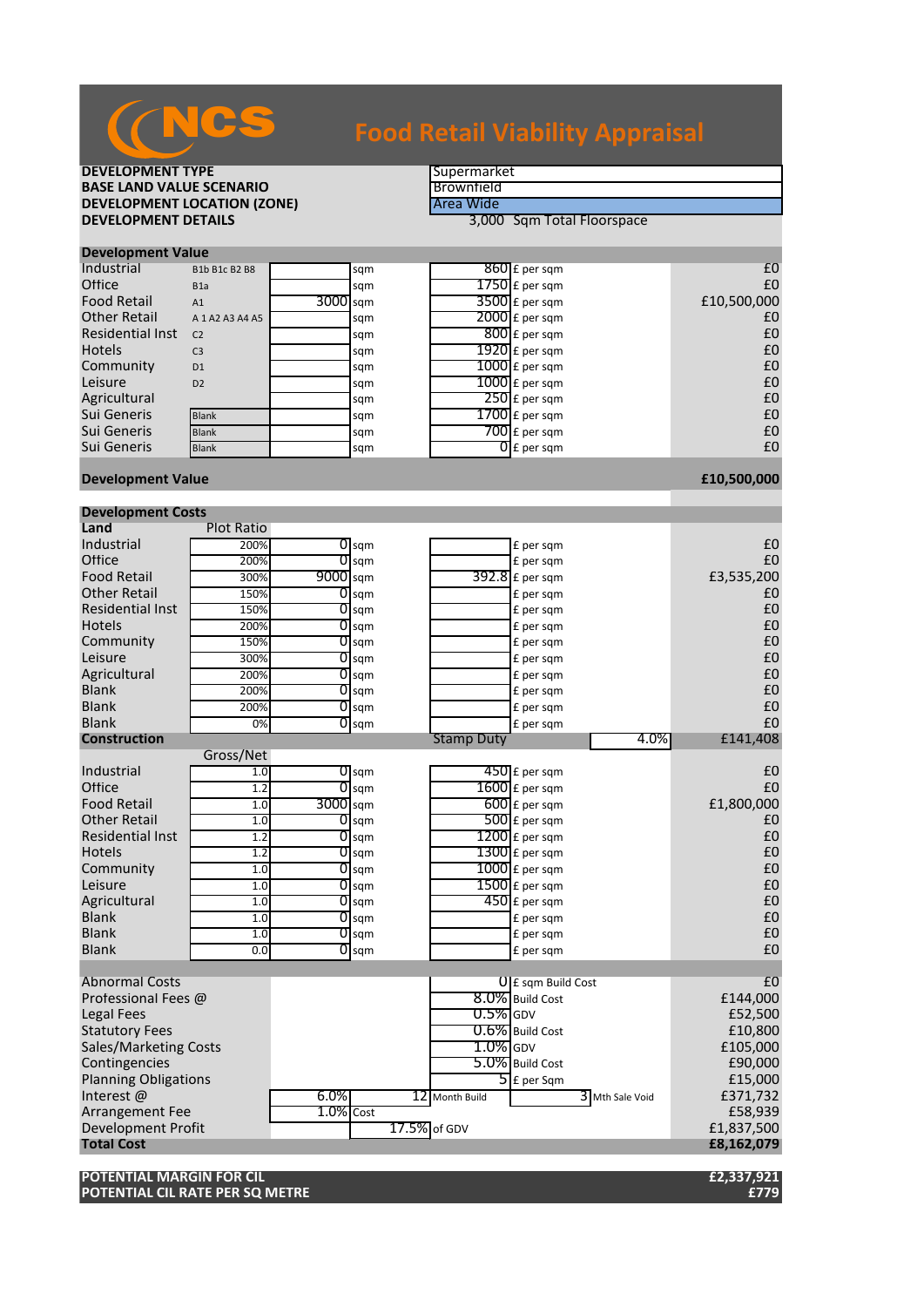

# **Food Retail Viability Appraisal**

## **DEVELOPMENT TYPE**<br> **BASE LAND VALUE SCENARIO BASE LAND VALUE SCENARIO**<br> **BEVELOPMENT LOCATION (ZONE)**BEVELOPMENT LOCATION (ZONE)

BEVELOPMENT LOCATION (ZONE) **DEVELOPMENT LOCATION (ZONE)**<br>DEVELOPMENT DETAILS

**DEVELOPMENT DETAILS** 3,000 Sqm Total Floorspace

| <b>Development Value</b> |                     |            |     |  |                          |             |  |  |
|--------------------------|---------------------|------------|-----|--|--------------------------|-------------|--|--|
| Industrial               | B1b B1c B2 B8       |            | sqm |  | $860$ £ per sqm          | £C          |  |  |
| Office                   | B <sub>1</sub> a    |            | sqm |  | $1750$ $E$ per sqm       | £C          |  |  |
| <b>Food Retail</b>       | A1                  | $3000$ sqm |     |  | $3500$ £ per sqm         | £10,500,000 |  |  |
| <b>Other Retail</b>      | A 1 A 2 A 3 A 4 A 5 |            | sqm |  | $2000$ £ per sqm         | £C          |  |  |
| <b>Residential Inst</b>  | C <sub>2</sub>      |            | sqm |  | $800$ E per sqm          | £C          |  |  |
| <b>Hotels</b>            | C <sub>3</sub>      |            | sqm |  | $1920$ £ per sqm         | £C          |  |  |
| Community                | D <sub>1</sub>      |            | sqm |  | $1000$ £ per sqm         | £C          |  |  |
| Leisure                  | D <sub>2</sub>      |            | sqm |  | $1000$ E per sqm         | £C          |  |  |
| Agricultural             |                     |            | sqm |  | $250$ £ per sqm          | £C          |  |  |
| Sui Generis              | <b>Blank</b>        |            | sqm |  | $1700$ $E$ per sqm       | £C          |  |  |
| Sui Generis              | <b>Blank</b>        |            | sqm |  | $700$ $E$ per sqm        | £C          |  |  |
| Sui Generis              | <b>Blank</b>        |            | sqm |  | $\overline{O}$ E per sqm | £C          |  |  |
|                          |                     |            |     |  |                          |             |  |  |

### **Development Value £10,500,000**

| <b>Development Costs</b>     |                   |           |                         |                   |                                   |                  |
|------------------------------|-------------------|-----------|-------------------------|-------------------|-----------------------------------|------------------|
| Land                         | <b>Plot Ratio</b> |           |                         |                   |                                   |                  |
| Industrial                   | 200%              |           | $\overline{0}$ sqm      |                   | £ per sqm                         | £0               |
| Office                       | 200%              |           | $0$ sqm                 |                   | £ per sqm                         | £0               |
| <b>Food Retail</b>           | 300%              | 9000 sqm  |                         |                   | 392.8 £ per sqm                   | £3,535,200       |
| <b>Other Retail</b>          | 150%              |           | $O$ sqm                 |                   | £ per sqm                         | £0               |
| <b>Residential Inst</b>      | 150%              |           | $O$ sqm                 |                   | £ per sqm                         | £0               |
| <b>Hotels</b>                | 200%              |           | $O$ sqm                 |                   | £ per sqm                         | £0               |
| Community                    | 150%              |           | $\overline{O}$ sqm      |                   | £ per sqm                         | £0               |
| Leisure                      | 300%              | 01        | sqm                     |                   | £ per sqm                         | £0               |
| Agricultural                 | 200%              |           | $\overline{0}$ sqm      |                   | £ per sqm                         | £0               |
| <b>Blank</b>                 | 200%              |           | $\overline{0}$ sqm      |                   | £ per sqm                         | £0               |
| <b>Blank</b>                 | 200%              |           | $\overline{0}$ sqm      |                   | £ per sqm                         | £0               |
| <b>Blank</b>                 | 0%                |           | $O$ sqm                 |                   | £ per sqm                         | £0               |
| <b>Construction</b>          |                   |           |                         | <b>Stamp Duty</b> |                                   | 4.0%<br>£141,408 |
|                              | Gross/Net         |           |                         |                   |                                   |                  |
| Industrial                   | 1.0               |           | $\sigma$ <sub>sqm</sub> |                   | $450$ £ per sqm                   | £0               |
| Office                       | 1.2               |           | $0$ sqm                 |                   | $1600$ £ per sqm                  | £0               |
| <b>Food Retail</b>           | 1.0               | 3000 sqm  |                         |                   | $600$ £ per sqm                   | £1,800,000       |
| <b>Other Retail</b>          | 1.0               |           | $O$ sqm                 |                   | 500 £ per sqm                     | £0               |
| <b>Residential Inst</b>      | 1.2               |           | $O$ sqm                 |                   | $1200$ £ per sqm                  | £0               |
| <b>Hotels</b>                | 1.2               |           | $\overline{O}$ sqm      |                   | $1300$ £ per sqm                  | £0               |
| Community                    | 1.0               |           | $\overline{O}$ sqm      |                   | $1000$ $E$ per sqm                | £0               |
| Leisure                      | 1.0               |           | $\overline{0}$ sqm      |                   | 1500 £ per sqm                    | £0               |
| Agricultural                 | 1.0               |           | $0$ sqm                 |                   | $450$ £ per sqm                   | £0               |
| <b>Blank</b>                 | 1.0               |           | $\overline{0}$ sqm      |                   | £ per sqm                         | £0               |
| <b>Blank</b>                 | 1.0               |           | $0$ sqm                 |                   | £ per sqm                         | £0               |
| <b>Blank</b>                 | 0.0               |           | $\overline{0}$ sqm      |                   | £ per sqm                         | £0               |
|                              |                   |           |                         |                   |                                   |                  |
| <b>Abnormal Costs</b>        |                   |           |                         |                   | <b>U</b> E sqm Build Cost         | £0               |
| Professional Fees @          |                   |           |                         |                   | 8.0% Build Cost                   | £144,000         |
| <b>Legal Fees</b>            |                   |           |                         | $0.5\%$ GDV       |                                   | £52,500          |
| <b>Statutory Fees</b>        |                   |           |                         |                   | $0.6\%$ Build Cost                | £10,800          |
| <b>Sales/Marketing Costs</b> |                   |           |                         | $1.0\%$ GDV       |                                   | £105,000         |
| Contingencies                |                   |           |                         |                   | 5.0% Build Cost                   | £90,000          |
| <b>Planning Obligations</b>  |                   |           |                         |                   | $\overline{\mathsf{5}}$ E per Sqm | £15,000          |
| Interest@                    |                   | 6.0%      |                         | 12 Month Build    | 3 Mth Sale Void                   | £371,732         |
| Arrangement Fee              |                   | 1.0% Cost |                         |                   |                                   | £58,939          |
| <b>Development Profit</b>    |                   |           |                         | 17.5% of GDV      |                                   | £1,837,500       |
| <b>Total Cost</b>            |                   |           |                         |                   |                                   | £8,162,079       |
|                              |                   |           |                         |                   |                                   |                  |

**POTENTIAL MARGIN FOR CIL £2,337,921 POTENTIAL CIL RATE PER SQ METRE £779**